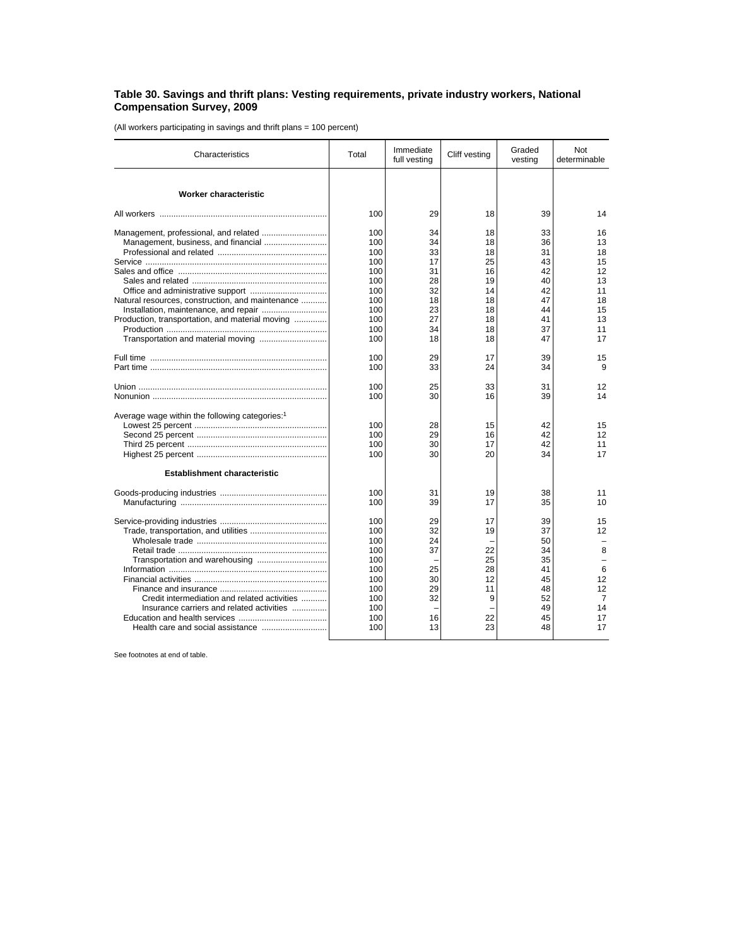## **Table 30. Savings and thrift plans: Vesting requirements, private industry workers, National Compensation Survey, 2009**

(All workers participating in savings and thrift plans = 100 percent)

| Characteristics                                                                                   | Total                                                                            | Immediate<br>full vesting                                | Cliff vesting                                           | Graded<br>vesting                                                    | <b>Not</b><br>determinable                                         |
|---------------------------------------------------------------------------------------------------|----------------------------------------------------------------------------------|----------------------------------------------------------|---------------------------------------------------------|----------------------------------------------------------------------|--------------------------------------------------------------------|
| Worker characteristic                                                                             |                                                                                  |                                                          |                                                         |                                                                      |                                                                    |
|                                                                                                   | 100                                                                              | 29                                                       | 18                                                      | 39                                                                   | 14                                                                 |
|                                                                                                   | 100                                                                              | 34                                                       | 18                                                      | 33                                                                   | 16                                                                 |
|                                                                                                   | 100                                                                              | 34                                                       | 18                                                      | 36                                                                   | 13                                                                 |
|                                                                                                   | 100                                                                              | 33                                                       | 18                                                      | 31                                                                   | 18                                                                 |
|                                                                                                   | 100                                                                              | 17                                                       | 25                                                      | 43                                                                   | 15                                                                 |
|                                                                                                   | 100                                                                              | 31                                                       | 16                                                      | 42                                                                   | 12                                                                 |
|                                                                                                   | 100                                                                              | 28                                                       | 19                                                      | 40                                                                   | 13                                                                 |
|                                                                                                   | 100                                                                              | 32                                                       | 14                                                      | 42                                                                   | 11                                                                 |
| Natural resources, construction, and maintenance                                                  | 100                                                                              | 18                                                       | 18                                                      | 47                                                                   | 18                                                                 |
|                                                                                                   | 100                                                                              | 23                                                       | 18                                                      | 44                                                                   | 15                                                                 |
| Production, transportation, and material moving                                                   | 100                                                                              | 27                                                       | 18                                                      | 41                                                                   | 13                                                                 |
|                                                                                                   | 100                                                                              | 34                                                       | 18                                                      | 37                                                                   | 11                                                                 |
|                                                                                                   | 100                                                                              | 18                                                       | 18                                                      | 47                                                                   | 17                                                                 |
|                                                                                                   | 100                                                                              | 29                                                       | 17                                                      | 39                                                                   | 15                                                                 |
|                                                                                                   | 100                                                                              | 33                                                       | 24                                                      | 34                                                                   | 9                                                                  |
|                                                                                                   | 100                                                                              | 25                                                       | 33                                                      | 31                                                                   | 12                                                                 |
|                                                                                                   | 100                                                                              | 30                                                       | 16                                                      | 39                                                                   | 14                                                                 |
| Average wage within the following categories: <sup>1</sup><br><b>Establishment characteristic</b> | 100<br>100<br>100<br>100                                                         | 28<br>29<br>30<br>30                                     | 15<br>16<br>17<br>20                                    | 42<br>42<br>42<br>34                                                 | 15<br>12<br>11<br>17                                               |
|                                                                                                   | 100                                                                              | 31                                                       | 19                                                      | 38                                                                   | 11                                                                 |
|                                                                                                   | 100                                                                              | 39                                                       | 17                                                      | 35                                                                   | 10                                                                 |
| Credit intermediation and related activities<br>Insurance carriers and related activities         | 100<br>100<br>100<br>100<br>100<br>100<br>100<br>100<br>100<br>100<br>100<br>100 | 29<br>32<br>24<br>37<br>25<br>30<br>29<br>32<br>16<br>13 | 17<br>19<br>22<br>25<br>28<br>12<br>11<br>9<br>22<br>23 | 39<br>37<br>50<br>34<br>35<br>41<br>45<br>48<br>52<br>49<br>45<br>48 | 15<br>12<br>8<br>6<br>12<br>12<br>$\overline{7}$<br>14<br>17<br>17 |

See footnotes at end of table.